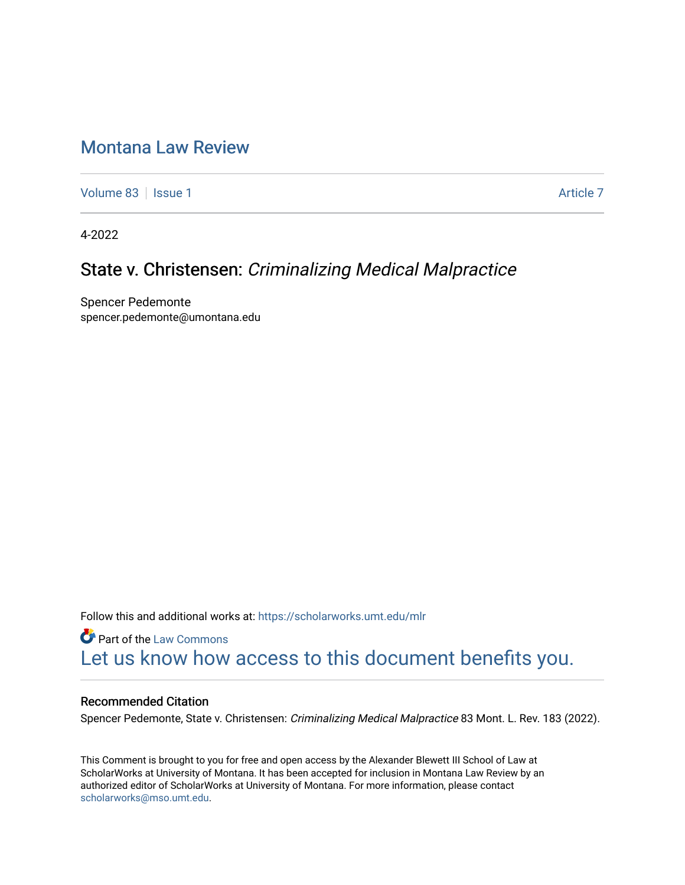# [Montana Law Review](https://scholarworks.umt.edu/mlr)

[Volume 83](https://scholarworks.umt.edu/mlr/vol83) | [Issue 1](https://scholarworks.umt.edu/mlr/vol83/iss1) [Article 7](https://scholarworks.umt.edu/mlr/vol83/iss1/7) Article 7 Article 7 Article 7 Article 7 Article 7 Article 7 Article 7

4-2022

# State v. Christensen: Criminalizing Medical Malpractice

Spencer Pedemonte spencer.pedemonte@umontana.edu

Follow this and additional works at: [https://scholarworks.umt.edu/mlr](https://scholarworks.umt.edu/mlr?utm_source=scholarworks.umt.edu%2Fmlr%2Fvol83%2Fiss1%2F7&utm_medium=PDF&utm_campaign=PDFCoverPages) 

**Part of the [Law Commons](http://network.bepress.com/hgg/discipline/578?utm_source=scholarworks.umt.edu%2Fmlr%2Fvol83%2Fiss1%2F7&utm_medium=PDF&utm_campaign=PDFCoverPages)** [Let us know how access to this document benefits you.](https://goo.gl/forms/s2rGfXOLzz71qgsB2) 

# Recommended Citation

Spencer Pedemonte, State v. Christensen: Criminalizing Medical Malpractice 83 Mont. L. Rev. 183 (2022).

This Comment is brought to you for free and open access by the Alexander Blewett III School of Law at ScholarWorks at University of Montana. It has been accepted for inclusion in Montana Law Review by an authorized editor of ScholarWorks at University of Montana. For more information, please contact [scholarworks@mso.umt.edu.](mailto:scholarworks@mso.umt.edu)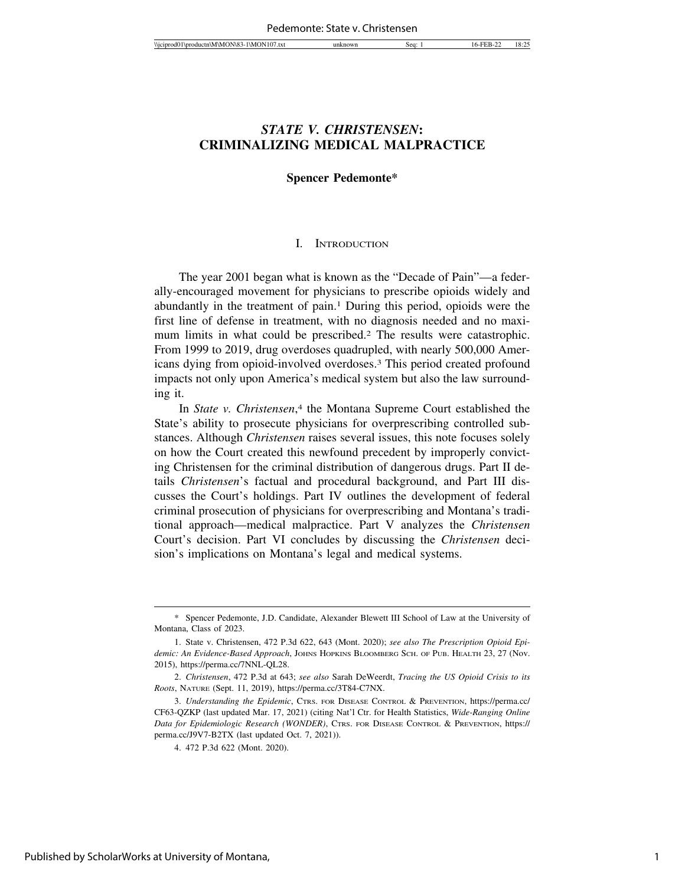# *STATE V. CHRISTENSEN***: CRIMINALIZING MEDICAL MALPRACTICE**

# **Spencer Pedemonte\***

#### I. INTRODUCTION

The year 2001 began what is known as the "Decade of Pain"—a federally-encouraged movement for physicians to prescribe opioids widely and abundantly in the treatment of pain.1 During this period, opioids were the first line of defense in treatment, with no diagnosis needed and no maximum limits in what could be prescribed.2 The results were catastrophic. From 1999 to 2019, drug overdoses quadrupled, with nearly 500,000 Americans dying from opioid-involved overdoses.3 This period created profound impacts not only upon America's medical system but also the law surrounding it.

In *State v. Christensen*, 4 the Montana Supreme Court established the State's ability to prosecute physicians for overprescribing controlled substances. Although *Christensen* raises several issues, this note focuses solely on how the Court created this newfound precedent by improperly convicting Christensen for the criminal distribution of dangerous drugs. Part II details *Christensen*'s factual and procedural background, and Part III discusses the Court's holdings. Part IV outlines the development of federal criminal prosecution of physicians for overprescribing and Montana's traditional approach—medical malpractice. Part V analyzes the *Christensen* Court's decision. Part VI concludes by discussing the *Christensen* decision's implications on Montana's legal and medical systems.

<sup>\*</sup> Spencer Pedemonte, J.D. Candidate, Alexander Blewett III School of Law at the University of Montana, Class of 2023.

<sup>1.</sup> State v. Christensen, 472 P.3d 622, 643 (Mont. 2020); *see also The Prescription Opioid Epidemic: An Evidence-Based Approach*, JOHNS HOPKINS BLOOMBERG SCH. OF PUB. HEALTH 23, 27 (Nov. 2015), https://perma.cc/7NNL-QL28.

<sup>2.</sup> *Christensen*, 472 P.3d at 643; *see also* Sarah DeWeerdt, *Tracing the US Opioid Crisis to its Roots*, NATURE (Sept. 11, 2019), https://perma.cc/3T84-C7NX.

<sup>3.</sup> *Understanding the Epidemic*, CTRS. FOR DISEASE CONTROL & PREVENTION, https://perma.cc/ CF63-QZKP (last updated Mar. 17, 2021) (citing Nat'l Ctr. for Health Statistics, *Wide-Ranging Online Data for Epidemiologic Research (WONDER)*, CTRS. FOR DISEASE CONTROL & PREVENTION, https:// perma.cc/J9V7-B2TX (last updated Oct. 7, 2021)).

<sup>4. 472</sup> P.3d 622 (Mont. 2020).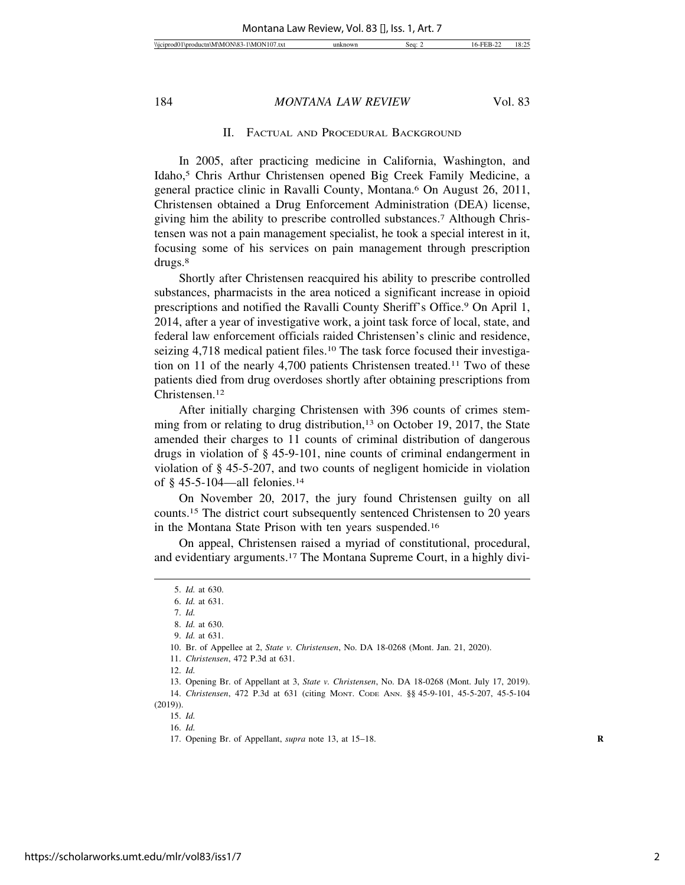#### II. FACTUAL AND PROCEDURAL BACKGROUND

In 2005, after practicing medicine in California, Washington, and Idaho,5 Chris Arthur Christensen opened Big Creek Family Medicine, a general practice clinic in Ravalli County, Montana.6 On August 26, 2011, Christensen obtained a Drug Enforcement Administration (DEA) license, giving him the ability to prescribe controlled substances.7 Although Christensen was not a pain management specialist, he took a special interest in it, focusing some of his services on pain management through prescription drugs.8

Shortly after Christensen reacquired his ability to prescribe controlled substances, pharmacists in the area noticed a significant increase in opioid prescriptions and notified the Ravalli County Sheriff's Office.<sup>9</sup> On April 1, 2014, after a year of investigative work, a joint task force of local, state, and federal law enforcement officials raided Christensen's clinic and residence, seizing 4,718 medical patient files.<sup>10</sup> The task force focused their investigation on 11 of the nearly 4,700 patients Christensen treated.11 Two of these patients died from drug overdoses shortly after obtaining prescriptions from Christensen.12

After initially charging Christensen with 396 counts of crimes stemming from or relating to drug distribution,<sup>13</sup> on October 19, 2017, the State amended their charges to 11 counts of criminal distribution of dangerous drugs in violation of § 45-9-101, nine counts of criminal endangerment in violation of § 45-5-207, and two counts of negligent homicide in violation of § 45-5-104—all felonies.14

On November 20, 2017, the jury found Christensen guilty on all counts.15 The district court subsequently sentenced Christensen to 20 years in the Montana State Prison with ten years suspended.16

On appeal, Christensen raised a myriad of constitutional, procedural, and evidentiary arguments.17 The Montana Supreme Court, in a highly divi-

12. *Id.*

(2019)).

15. *Id.*

<sup>5.</sup> *Id.* at 630.

<sup>6.</sup> *Id.* at 631.

<sup>7.</sup> *Id.*

<sup>8.</sup> *Id.* at 630. 9. *Id.* at 631.

<sup>10.</sup> Br. of Appellee at 2, *State v. Christensen*, No. DA 18-0268 (Mont. Jan. 21, 2020).

<sup>11.</sup> *Christensen*, 472 P.3d at 631.

<sup>13.</sup> Opening Br. of Appellant at 3, *State v. Christensen*, No. DA 18-0268 (Mont. July 17, 2019). 14. *Christensen*, 472 P.3d at 631 (citing MONT. CODE ANN. §§ 45-9-101, 45-5-207, 45-5-104

<sup>16.</sup> *Id.*

<sup>17.</sup> Opening Br. of Appellant, *supra* note 13, at 15–18. **R**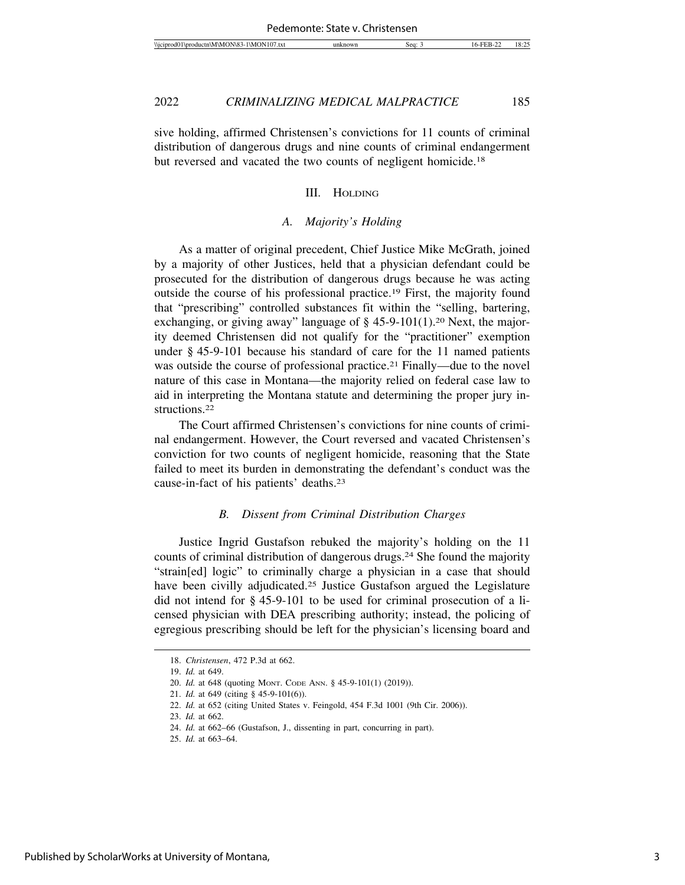sive holding, affirmed Christensen's convictions for 11 counts of criminal distribution of dangerous drugs and nine counts of criminal endangerment but reversed and vacated the two counts of negligent homicide.<sup>18</sup>

# III. HOLDING

# *A. Majority's Holding*

As a matter of original precedent, Chief Justice Mike McGrath, joined by a majority of other Justices, held that a physician defendant could be prosecuted for the distribution of dangerous drugs because he was acting outside the course of his professional practice.19 First, the majority found that "prescribing" controlled substances fit within the "selling, bartering, exchanging, or giving away" language of  $\S$  45-9-101(1).<sup>20</sup> Next, the majority deemed Christensen did not qualify for the "practitioner" exemption under § 45-9-101 because his standard of care for the 11 named patients was outside the course of professional practice.<sup>21</sup> Finally—due to the novel nature of this case in Montana—the majority relied on federal case law to aid in interpreting the Montana statute and determining the proper jury instructions.22

The Court affirmed Christensen's convictions for nine counts of criminal endangerment. However, the Court reversed and vacated Christensen's conviction for two counts of negligent homicide, reasoning that the State failed to meet its burden in demonstrating the defendant's conduct was the cause-in-fact of his patients' deaths.23

#### *B. Dissent from Criminal Distribution Charges*

Justice Ingrid Gustafson rebuked the majority's holding on the 11 counts of criminal distribution of dangerous drugs.24 She found the majority "strain[ed] logic" to criminally charge a physician in a case that should have been civilly adjudicated.25 Justice Gustafson argued the Legislature did not intend for § 45-9-101 to be used for criminal prosecution of a licensed physician with DEA prescribing authority; instead, the policing of egregious prescribing should be left for the physician's licensing board and

<sup>18.</sup> *Christensen*, 472 P.3d at 662.

<sup>19.</sup> *Id.* at 649.

<sup>20.</sup> *Id.* at 648 (quoting MONT. CODE ANN. § 45-9-101(1) (2019)).

<sup>21.</sup> *Id.* at 649 (citing § 45-9-101(6)).

<sup>22.</sup> *Id.* at 652 (citing United States v. Feingold, 454 F.3d 1001 (9th Cir. 2006)).

<sup>23.</sup> *Id.* at 662.

<sup>24.</sup> *Id.* at 662–66 (Gustafson, J., dissenting in part, concurring in part).

<sup>25.</sup> *Id.* at 663–64.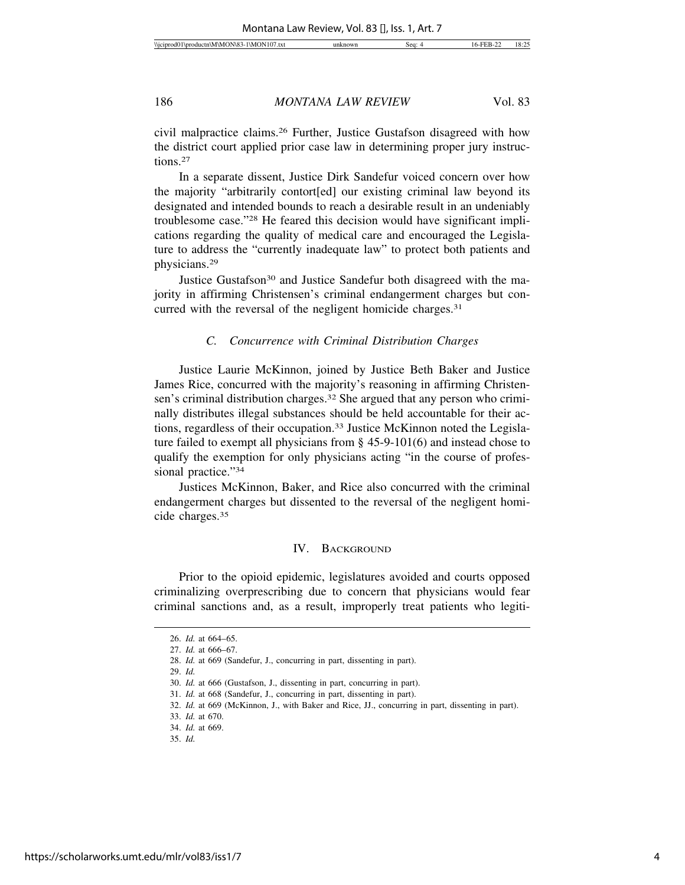civil malpractice claims.26 Further, Justice Gustafson disagreed with how the district court applied prior case law in determining proper jury instructions.27

In a separate dissent, Justice Dirk Sandefur voiced concern over how the majority "arbitrarily contort[ed] our existing criminal law beyond its designated and intended bounds to reach a desirable result in an undeniably troublesome case."28 He feared this decision would have significant implications regarding the quality of medical care and encouraged the Legislature to address the "currently inadequate law" to protect both patients and physicians.29

Justice Gustafson<sup>30</sup> and Justice Sandefur both disagreed with the majority in affirming Christensen's criminal endangerment charges but concurred with the reversal of the negligent homicide charges.<sup>31</sup>

#### *C. Concurrence with Criminal Distribution Charges*

Justice Laurie McKinnon, joined by Justice Beth Baker and Justice James Rice, concurred with the majority's reasoning in affirming Christensen's criminal distribution charges.<sup>32</sup> She argued that any person who criminally distributes illegal substances should be held accountable for their actions, regardless of their occupation.33 Justice McKinnon noted the Legislature failed to exempt all physicians from § 45-9-101(6) and instead chose to qualify the exemption for only physicians acting "in the course of professional practice."34

Justices McKinnon, Baker, and Rice also concurred with the criminal endangerment charges but dissented to the reversal of the negligent homicide charges.35

#### IV. BACKGROUND

Prior to the opioid epidemic, legislatures avoided and courts opposed criminalizing overprescribing due to concern that physicians would fear criminal sanctions and, as a result, improperly treat patients who legiti-

<sup>26.</sup> *Id.* at 664–65.

<sup>27.</sup> *Id.* at 666–67.

<sup>28.</sup> *Id.* at 669 (Sandefur, J., concurring in part, dissenting in part).

<sup>29.</sup> *Id.*

<sup>30.</sup> *Id.* at 666 (Gustafson, J., dissenting in part, concurring in part).

<sup>31.</sup> *Id.* at 668 (Sandefur, J., concurring in part, dissenting in part).

<sup>32.</sup> *Id.* at 669 (McKinnon, J., with Baker and Rice, JJ., concurring in part, dissenting in part).

<sup>33.</sup> *Id.* at 670.

<sup>34.</sup> *Id.* at 669.

<sup>35.</sup> *Id.*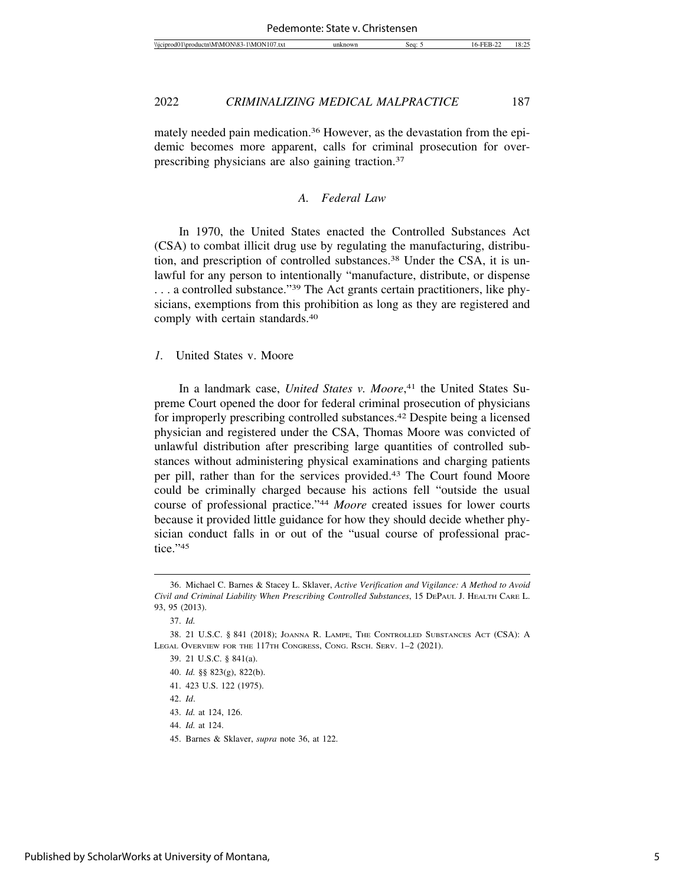mately needed pain medication.<sup>36</sup> However, as the devastation from the epidemic becomes more apparent, calls for criminal prosecution for overprescribing physicians are also gaining traction.37

# *A. Federal Law*

In 1970, the United States enacted the Controlled Substances Act (CSA) to combat illicit drug use by regulating the manufacturing, distribution, and prescription of controlled substances.38 Under the CSA, it is unlawful for any person to intentionally "manufacture, distribute, or dispense ... a controlled substance."<sup>39</sup> The Act grants certain practitioners, like physicians, exemptions from this prohibition as long as they are registered and comply with certain standards.40

## *1.* United States v. Moore

In a landmark case, *United States v. Moore*, 41 the United States Supreme Court opened the door for federal criminal prosecution of physicians for improperly prescribing controlled substances.42 Despite being a licensed physician and registered under the CSA, Thomas Moore was convicted of unlawful distribution after prescribing large quantities of controlled substances without administering physical examinations and charging patients per pill, rather than for the services provided.<sup>43</sup> The Court found Moore could be criminally charged because his actions fell "outside the usual course of professional practice."44 *Moore* created issues for lower courts because it provided little guidance for how they should decide whether physician conduct falls in or out of the "usual course of professional practice."45

45. Barnes & Sklaver, *supra* note 36, at 122.

<sup>36.</sup> Michael C. Barnes & Stacey L. Sklaver, *Active Verification and Vigilance: A Method to Avoid Civil and Criminal Liability When Prescribing Controlled Substances*, 15 DEPAUL J. HEALTH CARE L. 93, 95 (2013).

<sup>37.</sup> *Id.*

<sup>38. 21</sup> U.S.C. § 841 (2018); JOANNA R. LAMPE, THE CONTROLLED SUBSTANCES ACT (CSA): A LEGAL OVERVIEW FOR THE 117TH CONGRESS, CONG. RSCH. SERV. 1–2 (2021).

<sup>39. 21</sup> U.S.C. § 841(a).

<sup>40.</sup> *Id.* §§ 823(g), 822(b).

<sup>41. 423</sup> U.S. 122 (1975).

<sup>42.</sup> *Id*.

<sup>43.</sup> *Id.* at 124, 126.

<sup>44.</sup> *Id.* at 124.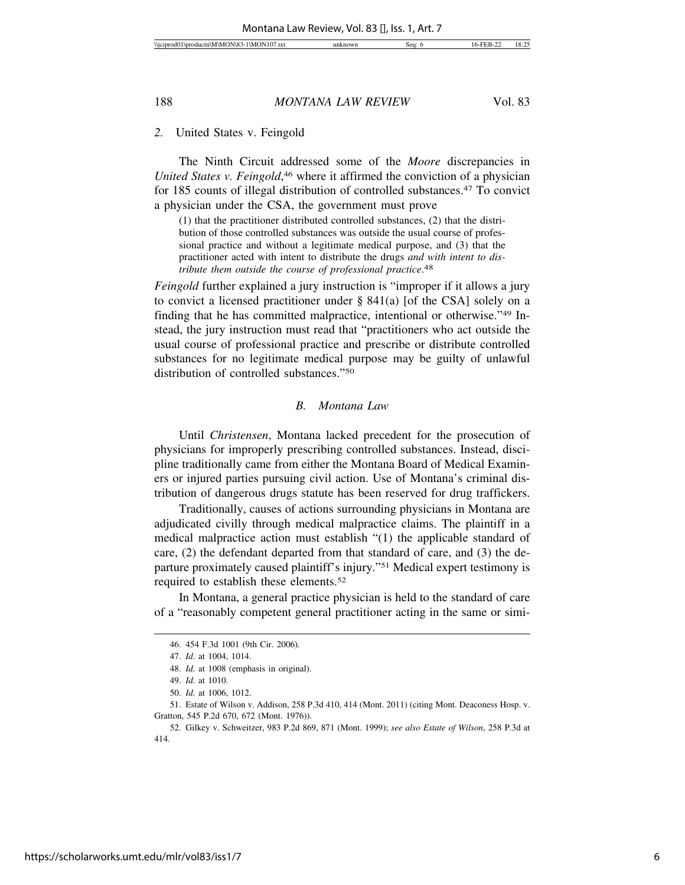#### *2.* United States v. Feingold

The Ninth Circuit addressed some of the *Moore* discrepancies in *United States v. Feingold*, 46 where it affirmed the conviction of a physician for 185 counts of illegal distribution of controlled substances.<sup>47</sup> To convict a physician under the CSA, the government must prove

(1) that the practitioner distributed controlled substances, (2) that the distribution of those controlled substances was outside the usual course of professional practice and without a legitimate medical purpose, and (3) that the practitioner acted with intent to distribute the drugs *and with intent to distribute them outside the course of professional practice*. 48

*Feingold* further explained a jury instruction is "improper if it allows a jury to convict a licensed practitioner under  $\S$  841(a) [of the CSA] solely on a finding that he has committed malpractice, intentional or otherwise."49 Instead, the jury instruction must read that "practitioners who act outside the usual course of professional practice and prescribe or distribute controlled substances for no legitimate medical purpose may be guilty of unlawful distribution of controlled substances."50

# *B. Montana Law*

Until *Christensen*, Montana lacked precedent for the prosecution of physicians for improperly prescribing controlled substances. Instead, discipline traditionally came from either the Montana Board of Medical Examiners or injured parties pursuing civil action. Use of Montana's criminal distribution of dangerous drugs statute has been reserved for drug traffickers.

Traditionally, causes of actions surrounding physicians in Montana are adjudicated civilly through medical malpractice claims. The plaintiff in a medical malpractice action must establish "(1) the applicable standard of care, (2) the defendant departed from that standard of care, and (3) the departure proximately caused plaintiff's injury."51 Medical expert testimony is required to establish these elements.52

In Montana, a general practice physician is held to the standard of care of a "reasonably competent general practitioner acting in the same or simi-

<sup>46. 454</sup> F.3d 1001 (9th Cir. 2006).

<sup>47.</sup> *Id.* at 1004, 1014.

<sup>48.</sup> *Id.* at 1008 (emphasis in original).

<sup>49.</sup> *Id.* at 1010.

<sup>50.</sup> *Id.* at 1006, 1012.

<sup>51.</sup> Estate of Wilson v. Addison, 258 P.3d 410, 414 (Mont. 2011) (citing Mont. Deaconess Hosp. v. Gratton, 545 P.2d 670, 672 (Mont. 1976)).

<sup>52.</sup> Gilkey v. Schweitzer, 983 P.2d 869, 871 (Mont. 1999); *see also Estate of Wilson*, 258 P.3d at 414.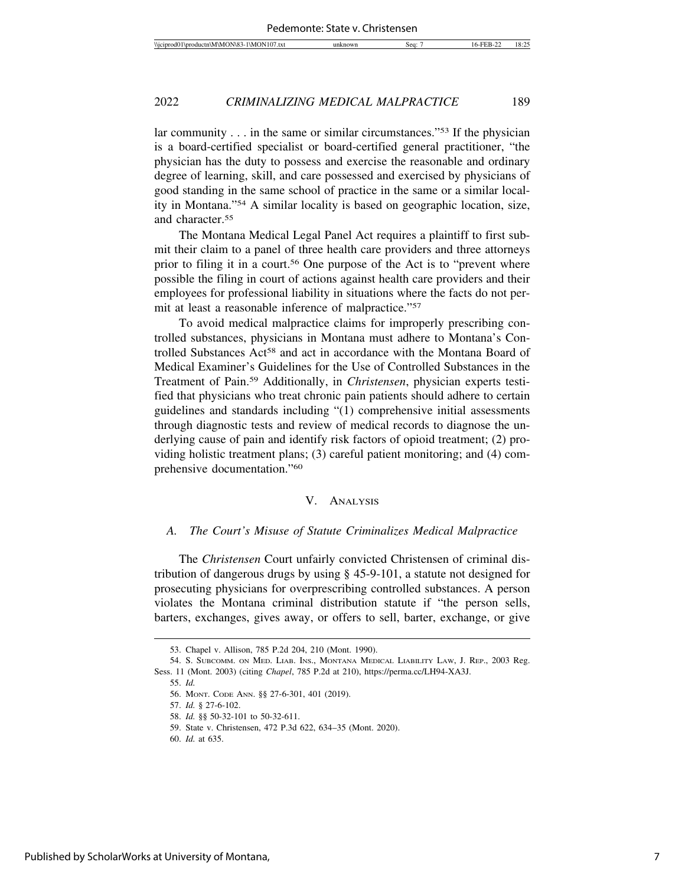lar community . . . in the same or similar circumstances."53 If the physician is a board-certified specialist or board-certified general practitioner, "the physician has the duty to possess and exercise the reasonable and ordinary degree of learning, skill, and care possessed and exercised by physicians of good standing in the same school of practice in the same or a similar locality in Montana."54 A similar locality is based on geographic location, size, and character.55

The Montana Medical Legal Panel Act requires a plaintiff to first submit their claim to a panel of three health care providers and three attorneys prior to filing it in a court.56 One purpose of the Act is to "prevent where possible the filing in court of actions against health care providers and their employees for professional liability in situations where the facts do not permit at least a reasonable inference of malpractice."57

To avoid medical malpractice claims for improperly prescribing controlled substances, physicians in Montana must adhere to Montana's Controlled Substances Act58 and act in accordance with the Montana Board of Medical Examiner's Guidelines for the Use of Controlled Substances in the Treatment of Pain.59 Additionally, in *Christensen*, physician experts testified that physicians who treat chronic pain patients should adhere to certain guidelines and standards including "(1) comprehensive initial assessments through diagnostic tests and review of medical records to diagnose the underlying cause of pain and identify risk factors of opioid treatment; (2) providing holistic treatment plans; (3) careful patient monitoring; and (4) comprehensive documentation."60

#### V. ANALYSIS

#### *A. The Court's Misuse of Statute Criminalizes Medical Malpractice*

The *Christensen* Court unfairly convicted Christensen of criminal distribution of dangerous drugs by using § 45-9-101, a statute not designed for prosecuting physicians for overprescribing controlled substances. A person violates the Montana criminal distribution statute if "the person sells, barters, exchanges, gives away, or offers to sell, barter, exchange, or give

<sup>53.</sup> Chapel v. Allison, 785 P.2d 204, 210 (Mont. 1990).

<sup>54.</sup> S. SUBCOMM. ON MED. LIAB. INS., MONTANA MEDICAL LIABILITY LAW, J. REP., 2003 Reg. Sess. 11 (Mont. 2003) (citing *Chapel*, 785 P.2d at 210), https://perma.cc/LH94-XA3J.

<sup>55.</sup> *Id.*

<sup>56.</sup> MONT. CODE ANN. §§ 27-6-301, 401 (2019).

<sup>57.</sup> *Id.* § 27-6-102.

<sup>58.</sup> *Id.* §§ 50-32-101 to 50-32-611.

<sup>59.</sup> State v. Christensen, 472 P.3d 622, 634–35 (Mont. 2020).

<sup>60.</sup> *Id.* at 635.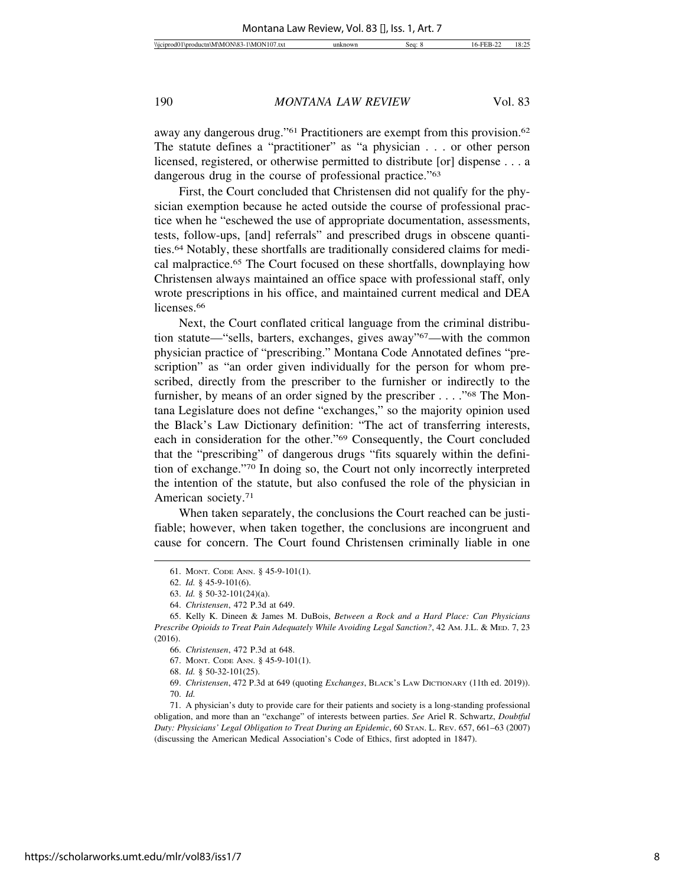away any dangerous drug."61 Practitioners are exempt from this provision.62 The statute defines a "practitioner" as "a physician . . . or other person licensed, registered, or otherwise permitted to distribute [or] dispense . . . a dangerous drug in the course of professional practice."<sup>63</sup>

First, the Court concluded that Christensen did not qualify for the physician exemption because he acted outside the course of professional practice when he "eschewed the use of appropriate documentation, assessments, tests, follow-ups, [and] referrals" and prescribed drugs in obscene quantities.64 Notably, these shortfalls are traditionally considered claims for medical malpractice.65 The Court focused on these shortfalls, downplaying how Christensen always maintained an office space with professional staff, only wrote prescriptions in his office, and maintained current medical and DEA licenses.<sup>66</sup>

Next, the Court conflated critical language from the criminal distribution statute—"sells, barters, exchanges, gives away"67—with the common physician practice of "prescribing." Montana Code Annotated defines "prescription" as "an order given individually for the person for whom prescribed, directly from the prescriber to the furnisher or indirectly to the furnisher, by means of an order signed by the prescriber . . . ."68 The Montana Legislature does not define "exchanges," so the majority opinion used the Black's Law Dictionary definition: "The act of transferring interests, each in consideration for the other."69 Consequently, the Court concluded that the "prescribing" of dangerous drugs "fits squarely within the definition of exchange."70 In doing so, the Court not only incorrectly interpreted the intention of the statute, but also confused the role of the physician in American society.71

When taken separately, the conclusions the Court reached can be justifiable; however, when taken together, the conclusions are incongruent and cause for concern. The Court found Christensen criminally liable in one

68. *Id.* § 50-32-101(25).

69. *Christensen*, 472 P.3d at 649 (quoting *Exchanges*, BLACK'S LAW DICTIONARY (11th ed. 2019)). 70. *Id.*

71. A physician's duty to provide care for their patients and society is a long-standing professional obligation, and more than an "exchange" of interests between parties. *See* Ariel R. Schwartz, *Doubtful Duty: Physicians' Legal Obligation to Treat During an Epidemic*, 60 STAN. L. REV. 657, 661–63 (2007) (discussing the American Medical Association's Code of Ethics, first adopted in 1847).

<sup>61.</sup> MONT. CODE ANN. § 45-9-101(1).

<sup>62.</sup> *Id.* § 45-9-101(6).

<sup>63.</sup> *Id.* § 50-32-101(24)(a).

<sup>64.</sup> *Christensen*, 472 P.3d at 649.

<sup>65.</sup> Kelly K. Dineen & James M. DuBois, *Between a Rock and a Hard Place: Can Physicians Prescribe Opioids to Treat Pain Adequately While Avoiding Legal Sanction?*, 42 AM. J.L. & MED. 7, 23 (2016).

<sup>66.</sup> *Christensen*, 472 P.3d at 648.

<sup>67.</sup> MONT. CODE ANN. § 45-9-101(1).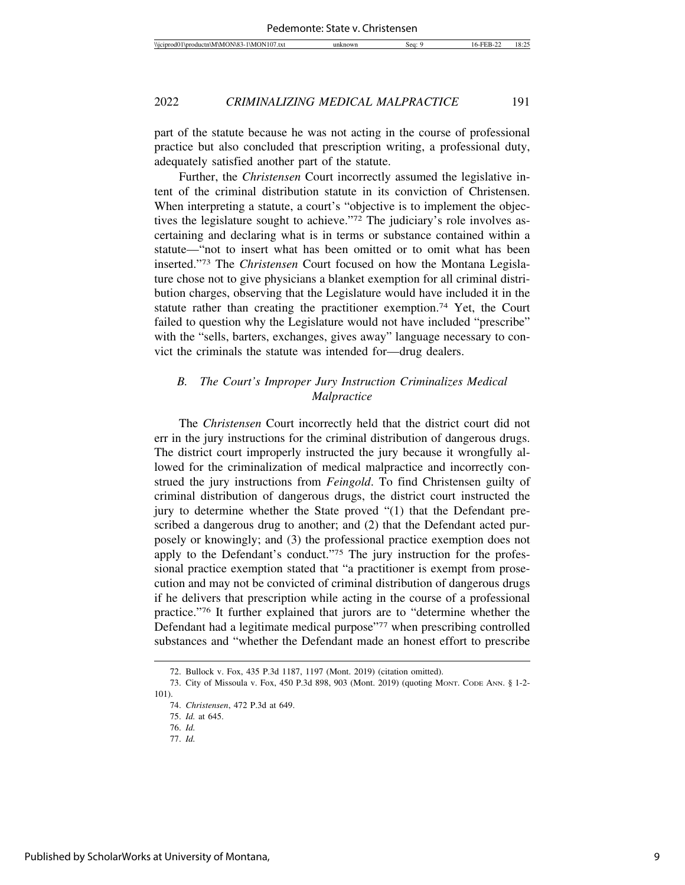part of the statute because he was not acting in the course of professional practice but also concluded that prescription writing, a professional duty, adequately satisfied another part of the statute.

Further, the *Christensen* Court incorrectly assumed the legislative intent of the criminal distribution statute in its conviction of Christensen. When interpreting a statute, a court's "objective is to implement the objectives the legislature sought to achieve."72 The judiciary's role involves ascertaining and declaring what is in terms or substance contained within a statute—"not to insert what has been omitted or to omit what has been inserted."73 The *Christensen* Court focused on how the Montana Legislature chose not to give physicians a blanket exemption for all criminal distribution charges, observing that the Legislature would have included it in the statute rather than creating the practitioner exemption.74 Yet, the Court failed to question why the Legislature would not have included "prescribe" with the "sells, barters, exchanges, gives away" language necessary to convict the criminals the statute was intended for—drug dealers.

# *B. The Court's Improper Jury Instruction Criminalizes Medical Malpractice*

The *Christensen* Court incorrectly held that the district court did not err in the jury instructions for the criminal distribution of dangerous drugs. The district court improperly instructed the jury because it wrongfully allowed for the criminalization of medical malpractice and incorrectly construed the jury instructions from *Feingold*. To find Christensen guilty of criminal distribution of dangerous drugs, the district court instructed the jury to determine whether the State proved "(1) that the Defendant prescribed a dangerous drug to another; and (2) that the Defendant acted purposely or knowingly; and (3) the professional practice exemption does not apply to the Defendant's conduct."<sup>75</sup> The jury instruction for the professional practice exemption stated that "a practitioner is exempt from prosecution and may not be convicted of criminal distribution of dangerous drugs if he delivers that prescription while acting in the course of a professional practice."76 It further explained that jurors are to "determine whether the Defendant had a legitimate medical purpose"77 when prescribing controlled substances and "whether the Defendant made an honest effort to prescribe

77. *Id.*

<sup>72.</sup> Bullock v. Fox, 435 P.3d 1187, 1197 (Mont. 2019) (citation omitted).

<sup>73.</sup> City of Missoula v. Fox, 450 P.3d 898, 903 (Mont. 2019) (quoting MONT. CODE ANN. § 1-2- 101).

<sup>74.</sup> *Christensen*, 472 P.3d at 649.

<sup>75.</sup> *Id.* at 645.

<sup>76.</sup> *Id.*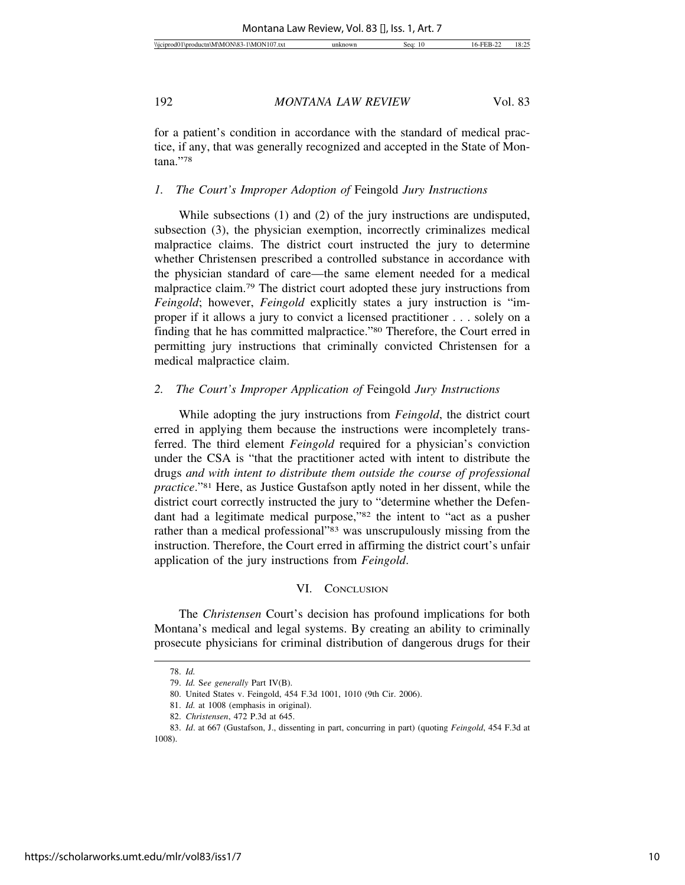for a patient's condition in accordance with the standard of medical practice, if any, that was generally recognized and accepted in the State of Montana."78

# *1. The Court's Improper Adoption of* Feingold *Jury Instructions*

While subsections (1) and (2) of the jury instructions are undisputed, subsection (3), the physician exemption, incorrectly criminalizes medical malpractice claims. The district court instructed the jury to determine whether Christensen prescribed a controlled substance in accordance with the physician standard of care—the same element needed for a medical malpractice claim.79 The district court adopted these jury instructions from *Feingold*; however, *Feingold* explicitly states a jury instruction is "improper if it allows a jury to convict a licensed practitioner . . . solely on a finding that he has committed malpractice."80 Therefore, the Court erred in permitting jury instructions that criminally convicted Christensen for a medical malpractice claim.

#### *2. The Court's Improper Application of* Feingold *Jury Instructions*

While adopting the jury instructions from *Feingold*, the district court erred in applying them because the instructions were incompletely transferred. The third element *Feingold* required for a physician's conviction under the CSA is "that the practitioner acted with intent to distribute the drugs *and with intent to distribute them outside the course of professional practice*."<sup>81</sup> Here, as Justice Gustafson aptly noted in her dissent, while the district court correctly instructed the jury to "determine whether the Defendant had a legitimate medical purpose,"82 the intent to "act as a pusher rather than a medical professional"83 was unscrupulously missing from the instruction. Therefore, the Court erred in affirming the district court's unfair application of the jury instructions from *Feingold*.

# VI. CONCLUSION

The *Christensen* Court's decision has profound implications for both Montana's medical and legal systems. By creating an ability to criminally prosecute physicians for criminal distribution of dangerous drugs for their

<sup>78.</sup> *Id.*

<sup>79.</sup> *Id.* S*ee generally* Part IV(B).

<sup>80.</sup> United States v. Feingold, 454 F.3d 1001, 1010 (9th Cir. 2006).

<sup>81.</sup> *Id.* at 1008 (emphasis in original).

<sup>82.</sup> *Christensen*, 472 P.3d at 645.

<sup>83.</sup> *Id*. at 667 (Gustafson, J., dissenting in part, concurring in part) (quoting *Feingold*, 454 F.3d at 1008).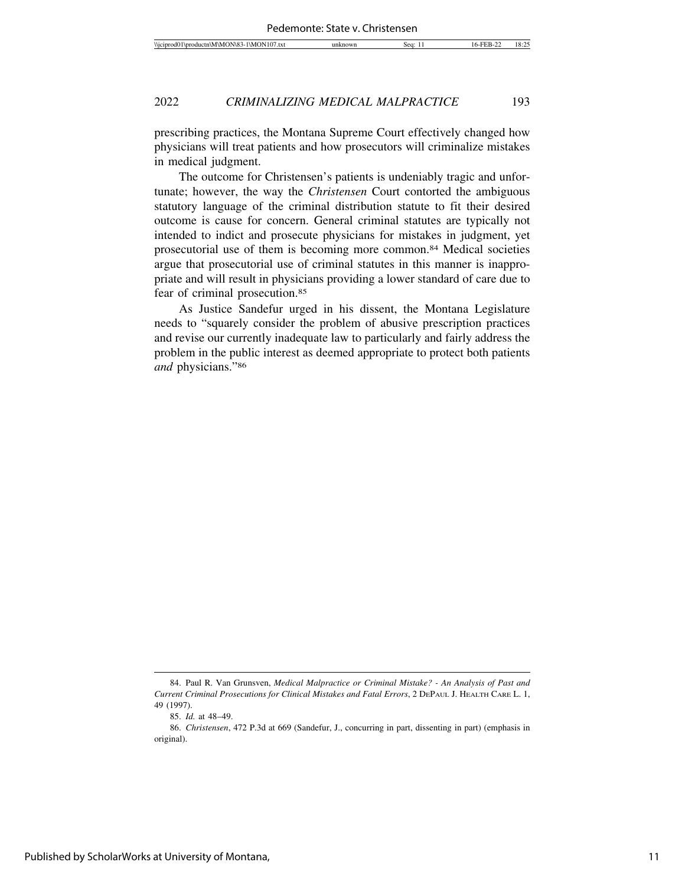prescribing practices, the Montana Supreme Court effectively changed how physicians will treat patients and how prosecutors will criminalize mistakes in medical judgment.

The outcome for Christensen's patients is undeniably tragic and unfortunate; however, the way the *Christensen* Court contorted the ambiguous statutory language of the criminal distribution statute to fit their desired outcome is cause for concern. General criminal statutes are typically not intended to indict and prosecute physicians for mistakes in judgment, yet prosecutorial use of them is becoming more common.84 Medical societies argue that prosecutorial use of criminal statutes in this manner is inappropriate and will result in physicians providing a lower standard of care due to fear of criminal prosecution.85

As Justice Sandefur urged in his dissent, the Montana Legislature needs to "squarely consider the problem of abusive prescription practices and revise our currently inadequate law to particularly and fairly address the problem in the public interest as deemed appropriate to protect both patients *and* physicians."86

<sup>84.</sup> Paul R. Van Grunsven, *Medical Malpractice or Criminal Mistake? - An Analysis of Past and Current Criminal Prosecutions for Clinical Mistakes and Fatal Errors*, 2 DEPAUL J. HEALTH CARE L. 1, 49 (1997).

<sup>85.</sup> *Id.* at 48–49.

<sup>86.</sup> *Christensen*, 472 P.3d at 669 (Sandefur, J., concurring in part, dissenting in part) (emphasis in original).